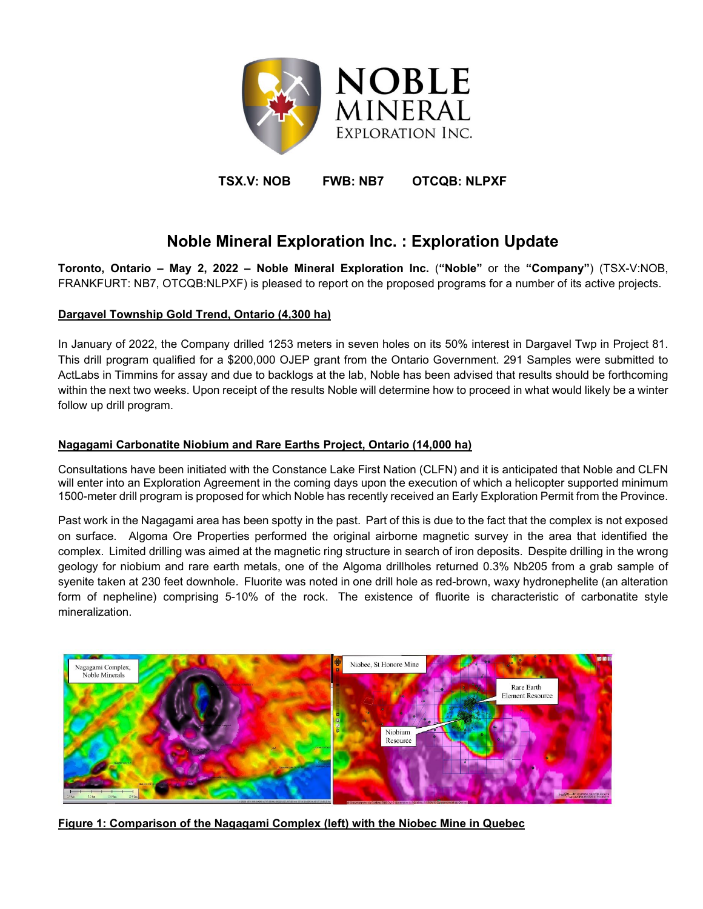

# **TSX.V: NOB FWB: NB7 OTCQB: NLPXF**

# **Noble Mineral Exploration Inc. : Exploration Update**

**Toronto, Ontario – May 2, 2022 – Noble Mineral Exploration Inc.** (**"Noble"** or the **"Company"**) (TSX-V:NOB, FRANKFURT: NB7, OTCQB:NLPXF) is pleased to report on the proposed programs for a number of its active projects.

### **Dargavel Township Gold Trend, Ontario (4,300 ha)**

In January of 2022, the Company drilled 1253 meters in seven holes on its 50% interest in Dargavel Twp in Project 81. This drill program qualified for a \$200,000 OJEP grant from the Ontario Government. 291 Samples were submitted to ActLabs in Timmins for assay and due to backlogs at the lab, Noble has been advised that results should be forthcoming within the next two weeks. Upon receipt of the results Noble will determine how to proceed in what would likely be a winter follow up drill program.

#### **Nagagami Carbonatite Niobium and Rare Earths Project, Ontario (14,000 ha)**

Consultations have been initiated with the Constance Lake First Nation (CLFN) and it is anticipated that Noble and CLFN will enter into an Exploration Agreement in the coming days upon the execution of which a helicopter supported minimum 1500-meter drill program is proposed for which Noble has recently received an Early Exploration Permit from the Province.

Past work in the Nagagami area has been spotty in the past. Part of this is due to the fact that the complex is not exposed on surface. Algoma Ore Properties performed the original airborne magnetic survey in the area that identified the complex. Limited drilling was aimed at the magnetic ring structure in search of iron deposits. Despite drilling in the wrong geology for niobium and rare earth metals, one of the Algoma drillholes returned 0.3% Nb205 from a grab sample of syenite taken at 230 feet downhole. Fluorite was noted in one drill hole as red-brown, waxy hydronephelite (an alteration form of nepheline) comprising 5-10% of the rock. The existence of fluorite is characteristic of carbonatite style mineralization.



**Figure 1: Comparison of the Nagagami Complex (left) with the Niobec Mine in Quebec**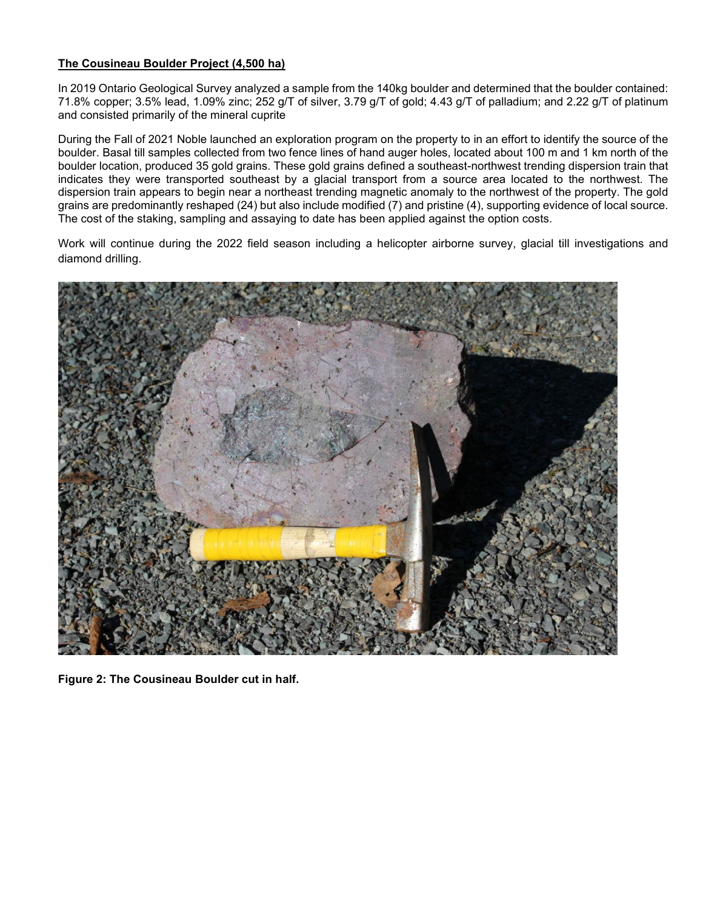### **The Cousineau Boulder Project (4,500 ha)**

In 2019 Ontario Geological Survey analyzed a sample from the 140kg boulder and determined that the boulder contained: 71.8% copper; 3.5% lead, 1.09% zinc; 252 g/T of silver, 3.79 g/T of gold; 4.43 g/T of palladium; and 2.22 g/T of platinum and consisted primarily of the mineral cuprite

During the Fall of 2021 Noble launched an exploration program on the property to in an effort to identify the source of the boulder. Basal till samples collected from two fence lines of hand auger holes, located about 100 m and 1 km north of the boulder location, produced 35 gold grains. These gold grains defined a southeast-northwest trending dispersion train that indicates they were transported southeast by a glacial transport from a source area located to the northwest. The dispersion train appears to begin near a northeast trending magnetic anomaly to the northwest of the property. The gold grains are predominantly reshaped (24) but also include modified (7) and pristine (4), supporting evidence of local source. The cost of the staking, sampling and assaying to date has been applied against the option costs.

Work will continue during the 2022 field season including a helicopter airborne survey, glacial till investigations and diamond drilling.



**Figure 2: The Cousineau Boulder cut in half.**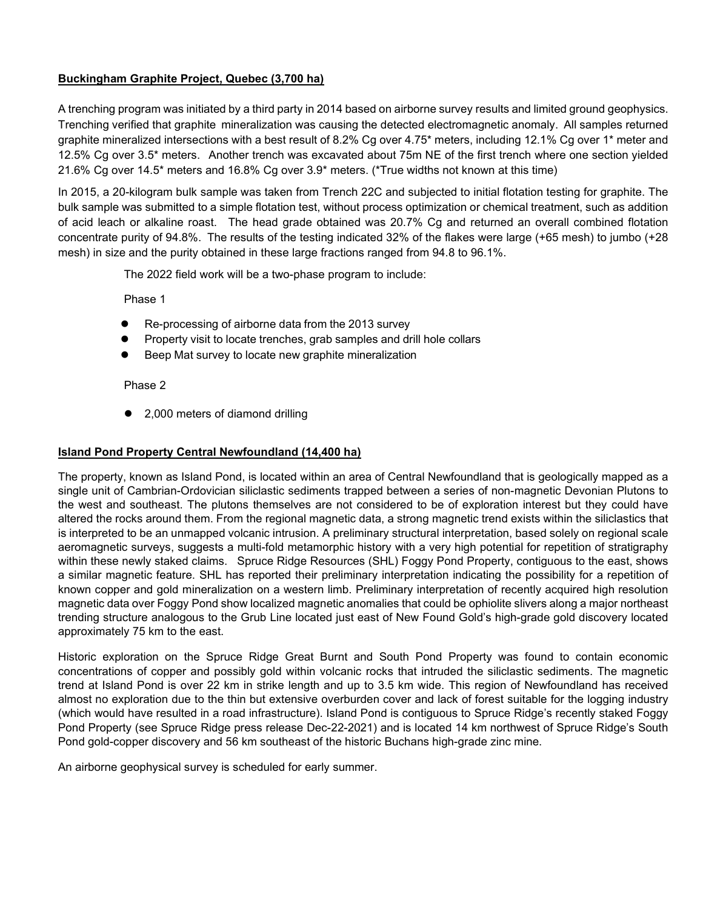## **Buckingham Graphite Project, Quebec (3,700 ha)**

A trenching program was initiated by a third party in 2014 based on airborne survey results and limited ground geophysics. Trenching verified that graphite mineralization was causing the detected electromagnetic anomaly. All samples returned graphite mineralized intersections with a best result of 8.2% Cg over 4.75\* meters, including 12.1% Cg over 1\* meter and 12.5% Cg over 3.5\* meters. Another trench was excavated about 75m NE of the first trench where one section yielded 21.6% Cg over 14.5\* meters and 16.8% Cg over 3.9\* meters. (\*True widths not known at this time)

In 2015, a 20-kilogram bulk sample was taken from Trench 22C and subjected to initial flotation testing for graphite. The bulk sample was submitted to a simple flotation test, without process optimization or chemical treatment, such as addition of acid leach or alkaline roast. The head grade obtained was 20.7% Cg and returned an overall combined flotation concentrate purity of 94.8%. The results of the testing indicated 32% of the flakes were large (+65 mesh) to jumbo (+28 mesh) in size and the purity obtained in these large fractions ranged from 94.8 to 96.1%.

The 2022 field work will be a two-phase program to include:

Phase 1

- Re-processing of airborne data from the 2013 survey
- Property visit to locate trenches, grab samples and drill hole collars
- Beep Mat survey to locate new graphite mineralization

Phase 2

● 2,000 meters of diamond drilling

#### **Island Pond Property Central Newfoundland (14,400 ha)**

The property, known as Island Pond, is located within an area of Central Newfoundland that is geologically mapped as a single unit of Cambrian-Ordovician siliclastic sediments trapped between a series of non-magnetic Devonian Plutons to the west and southeast. The plutons themselves are not considered to be of exploration interest but they could have altered the rocks around them. From the regional magnetic data, a strong magnetic trend exists within the siliclastics that is interpreted to be an unmapped volcanic intrusion. A preliminary structural interpretation, based solely on regional scale aeromagnetic surveys, suggests a multi-fold metamorphic history with a very high potential for repetition of stratigraphy within these newly staked claims. Spruce Ridge Resources (SHL) Foggy Pond Property, contiguous to the east, shows a similar magnetic feature. SHL has reported their preliminary interpretation indicating the possibility for a repetition of known copper and gold mineralization on a western limb. Preliminary interpretation of recently acquired high resolution magnetic data over Foggy Pond show localized magnetic anomalies that could be ophiolite slivers along a major northeast trending structure analogous to the Grub Line located just east of New Found Gold's high-grade gold discovery located approximately 75 km to the east.

Historic exploration on the Spruce Ridge Great Burnt and South Pond Property was found to contain economic concentrations of copper and possibly gold within volcanic rocks that intruded the siliclastic sediments. The magnetic trend at Island Pond is over 22 km in strike length and up to 3.5 km wide. This region of Newfoundland has received almost no exploration due to the thin but extensive overburden cover and lack of forest suitable for the logging industry (which would have resulted in a road infrastructure). Island Pond is contiguous to Spruce Ridge's recently staked Foggy Pond Property (see Spruce Ridge press release Dec-22-2021) and is located 14 km northwest of Spruce Ridge's South Pond gold-copper discovery and 56 km southeast of the historic Buchans high-grade zinc mine.

An airborne geophysical survey is scheduled for early summer.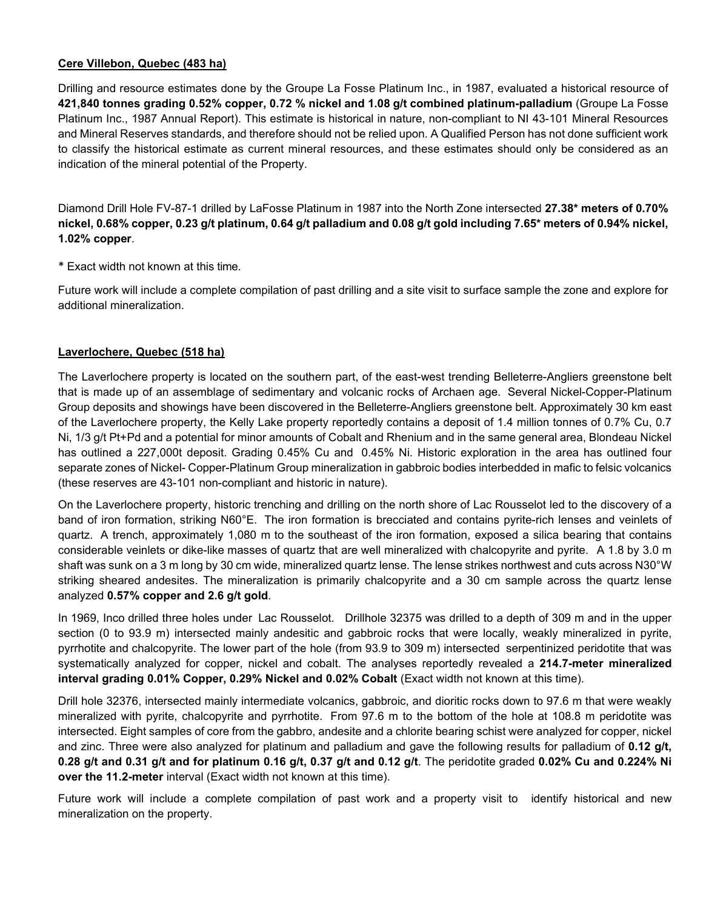#### **Cere Villebon, Quebec (483 ha)**

Drilling and resource estimates done by the Groupe La Fosse Platinum Inc., in 1987, evaluated a historical resource of **421,840 tonnes grading 0.52% copper, 0.72 % nickel and 1.08 g/t combined platinum-palladium** (Groupe La Fosse Platinum Inc., 1987 Annual Report). This estimate is historical in nature, non-compliant to NI 43-101 Mineral Resources and Mineral Reserves standards, and therefore should not be relied upon. A Qualified Person has not done sufficient work to classify the historical estimate as current mineral resources, and these estimates should only be considered as an indication of the mineral potential of the Property.

Diamond Drill Hole FV-87-1 drilled by LaFosse Platinum in 1987 into the North Zone intersected **27.38\* meters of 0.70% nickel, 0.68% copper, 0.23 g/t platinum, 0.64 g/t palladium and 0.08 g/t gold including 7.65\* meters of 0.94% nickel, 1.02% copper**.

\* Exact width not known at this time.

Future work will include a complete compilation of past drilling and a site visit to surface sample the zone and explore for additional mineralization.

#### **Laverlochere, Quebec (518 ha)**

The Laverlochere property is located on the southern part, of the east-west trending Belleterre-Angliers greenstone belt that is made up of an assemblage of sedimentary and volcanic rocks of Archaen age. Several Nickel-Copper-Platinum Group deposits and showings have been discovered in the Belleterre-Angliers greenstone belt. Approximately 30 km east of the Laverlochere property, the Kelly Lake property reportedly contains a deposit of 1.4 million tonnes of 0.7% Cu, 0.7 Ni, 1/3 g/t Pt+Pd and a potential for minor amounts of Cobalt and Rhenium and in the same general area, Blondeau Nickel has outlined a 227,000t deposit. Grading 0.45% Cu and 0.45% Ni. Historic exploration in the area has outlined four separate zones of Nickel- Copper-Platinum Group mineralization in gabbroic bodies interbedded in mafic to felsic volcanics (these reserves are 43-101 non-compliant and historic in nature).

On the Laverlochere property, historic trenching and drilling on the north shore of Lac Rousselot led to the discovery of a band of iron formation, striking N60°E. The iron formation is brecciated and contains pyrite-rich lenses and veinlets of quartz. A trench, approximately 1,080 m to the southeast of the iron formation, exposed a silica bearing that contains considerable veinlets or dike-like masses of quartz that are well mineralized with chalcopyrite and pyrite. A 1.8 by 3.0 m shaft was sunk on a 3 m long by 30 cm wide, mineralized quartz lense. The lense strikes northwest and cuts across N30°W striking sheared andesites. The mineralization is primarily chalcopyrite and a 30 cm sample across the quartz lense analyzed **0.57% copper and 2.6 g/t gold**.

In 1969, Inco drilled three holes under Lac Rousselot. Drillhole 32375 was drilled to a depth of 309 m and in the upper section (0 to 93.9 m) intersected mainly andesitic and gabbroic rocks that were locally, weakly mineralized in pyrite, pyrrhotite and chalcopyrite. The lower part of the hole (from 93.9 to 309 m) intersected serpentinized peridotite that was systematically analyzed for copper, nickel and cobalt. The analyses reportedly revealed a **214.7-meter mineralized interval grading 0.01% Copper, 0.29% Nickel and 0.02% Cobalt** (Exact width not known at this time).

Drill hole 32376, intersected mainly intermediate volcanics, gabbroic, and dioritic rocks down to 97.6 m that were weakly mineralized with pyrite, chalcopyrite and pyrrhotite. From 97.6 m to the bottom of the hole at 108.8 m peridotite was intersected. Eight samples of core from the gabbro, andesite and a chlorite bearing schist were analyzed for copper, nickel and zinc. Three were also analyzed for platinum and palladium and gave the following results for palladium of **0.12 g/t, 0.28 g/t and 0.31 g/t and for platinum 0.16 g/t, 0.37 g/t and 0.12 g/t**. The peridotite graded **0.02% Cu and 0.224% Ni over the 11.2-meter** interval (Exact width not known at this time).

Future work will include a complete compilation of past work and a property visit to identify historical and new mineralization on the property.